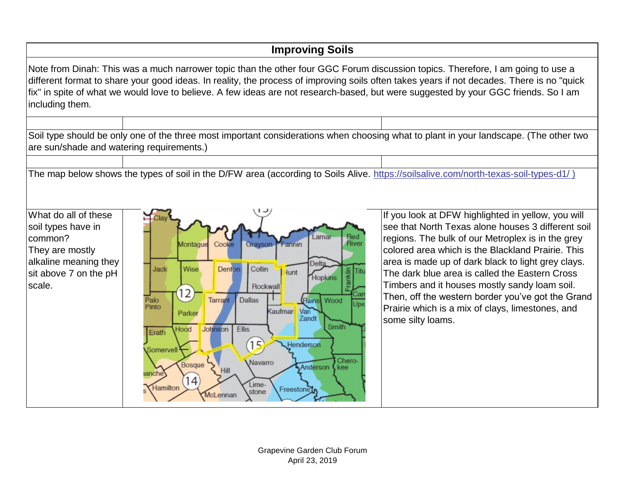| <b>Improving Soils</b>                                                                                                                                                                                                                                                                                                                                                                                                                  |                                                                                                                                                                                                                                                                                                                                                                                                                                                                                                                                  |                                                                                                                                                                                                                                                                                                                                                                                                                                                                                                           |  |
|-----------------------------------------------------------------------------------------------------------------------------------------------------------------------------------------------------------------------------------------------------------------------------------------------------------------------------------------------------------------------------------------------------------------------------------------|----------------------------------------------------------------------------------------------------------------------------------------------------------------------------------------------------------------------------------------------------------------------------------------------------------------------------------------------------------------------------------------------------------------------------------------------------------------------------------------------------------------------------------|-----------------------------------------------------------------------------------------------------------------------------------------------------------------------------------------------------------------------------------------------------------------------------------------------------------------------------------------------------------------------------------------------------------------------------------------------------------------------------------------------------------|--|
| Note from Dinah: This was a much narrower topic than the other four GGC Forum discussion topics. Therefore, I am going to use a<br>different format to share your good ideas. In reality, the process of improving soils often takes years if not decades. There is no "quick<br>fix" in spite of what we would love to believe. A few ideas are not research-based, but were suggested by your GGC friends. So I am<br>including them. |                                                                                                                                                                                                                                                                                                                                                                                                                                                                                                                                  |                                                                                                                                                                                                                                                                                                                                                                                                                                                                                                           |  |
| are sun/shade and watering requirements.)                                                                                                                                                                                                                                                                                                                                                                                               | Soil type should be only one of the three most important considerations when choosing what to plant in your landscape. (The other two                                                                                                                                                                                                                                                                                                                                                                                            |                                                                                                                                                                                                                                                                                                                                                                                                                                                                                                           |  |
| The map below shows the types of soil in the D/FW area (according to Soils Alive. https://soilsalive.com/north-texas-soil-types-d1/)                                                                                                                                                                                                                                                                                                    |                                                                                                                                                                                                                                                                                                                                                                                                                                                                                                                                  |                                                                                                                                                                                                                                                                                                                                                                                                                                                                                                           |  |
| What do all of these<br>soil types have in<br>common?<br>They are mostly<br>alkaline meaning they<br>sit above 7 on the pH<br>scale.                                                                                                                                                                                                                                                                                                    | Lamar<br>Red<br>River<br>Cooke<br>Grayson<br>Montague<br><b>Fannin</b><br><b>Delta</b><br>Collin<br>Jack<br>Wise<br>Denton<br><b>Hunt</b><br><b>Hopkins</b><br>Rockwall<br>$ 2\rangle$<br><b>Dallas</b><br>Palo<br><b>Tarrant</b><br>Rains Wood<br>Pinto<br>Kaufmar<br>Van<br>Parker<br>Zandt<br><b>Smith</b><br>Johnson<br><b>Ellis</b><br>Hood<br>Erath<br>15<br>Henderson<br>Somervel<br>Chero-<br>Navarro<br>Bosque<br>Anderson<br>kee<br><b>Hill</b><br>anche<br>14.<br>Lime-<br>Hamilton<br>Freestone<br>stone<br>McLennan | If you look at DFW highlighted in yellow, you will<br>see that North Texas alone houses 3 different soil<br>regions. The bulk of our Metroplex is in the grey<br>colored area which is the Blackland Prairie. This<br>area is made up of dark black to light grey clays.<br>The dark blue area is called the Eastern Cross<br>Timbers and it houses mostly sandy loam soil.<br>Then, off the western border you've got the Grand<br>Prairie which is a mix of clays, limestones, and<br>some silty loams. |  |